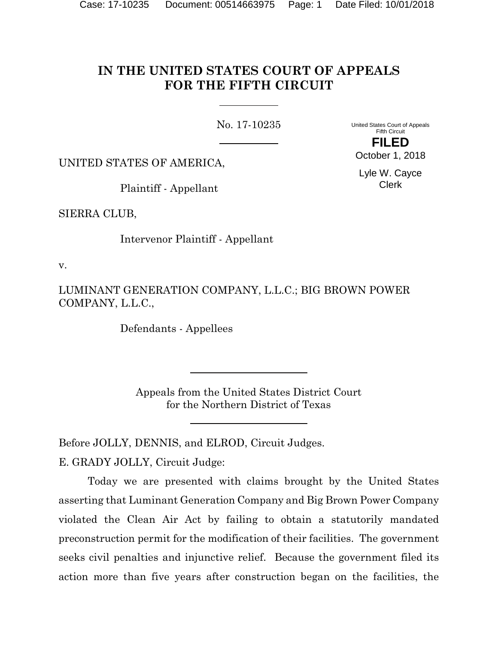# **IN THE UNITED STATES COURT OF APPEALS FOR THE FIFTH CIRCUIT**

No. 17-10235

United States Court of Appeals Fifth Circuit

UNITED STATES OF AMERICA,

Plaintiff - Appellant

SIERRA CLUB,

Intervenor Plaintiff - Appellant

v.

LUMINANT GENERATION COMPANY, L.L.C.; BIG BROWN POWER COMPANY, L.L.C.,

Defendants - Appellees

Appeals from the United States District Court for the Northern District of Texas

Before JOLLY, DENNIS, and ELROD, Circuit Judges.

E. GRADY JOLLY, Circuit Judge:

Today we are presented with claims brought by the United States asserting that Luminant Generation Company and Big Brown Power Company violated the Clean Air Act by failing to obtain a statutorily mandated preconstruction permit for the modification of their facilities. The government seeks civil penalties and injunctive relief. Because the government filed its action more than five years after construction began on the facilities, the

**FILED** October 1, 2018

> Lyle W. Cayce Clerk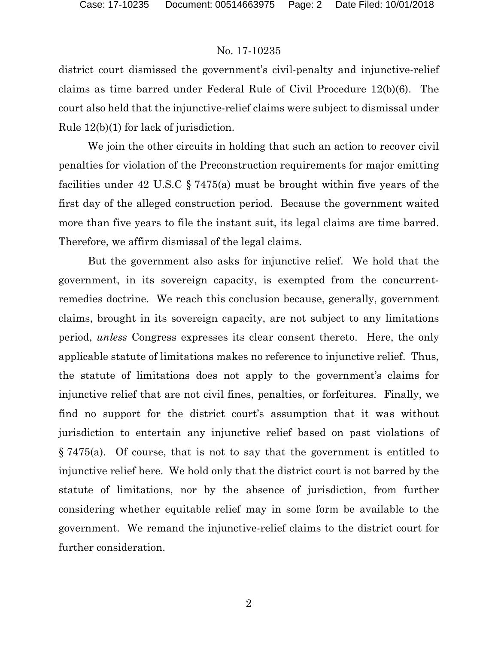district court dismissed the government's civil-penalty and injunctive-relief claims as time barred under Federal Rule of Civil Procedure 12(b)(6). The court also held that the injunctive-relief claims were subject to dismissal under Rule 12(b)(1) for lack of jurisdiction.

We join the other circuits in holding that such an action to recover civil penalties for violation of the Preconstruction requirements for major emitting facilities under 42 U.S.C § 7475(a) must be brought within five years of the first day of the alleged construction period. Because the government waited more than five years to file the instant suit, its legal claims are time barred. Therefore, we affirm dismissal of the legal claims.

But the government also asks for injunctive relief. We hold that the government, in its sovereign capacity, is exempted from the concurrentremedies doctrine. We reach this conclusion because, generally, government claims, brought in its sovereign capacity, are not subject to any limitations period, *unless* Congress expresses its clear consent thereto. Here, the only applicable statute of limitations makes no reference to injunctive relief. Thus, the statute of limitations does not apply to the government's claims for injunctive relief that are not civil fines, penalties, or forfeitures. Finally, we find no support for the district court's assumption that it was without jurisdiction to entertain any injunctive relief based on past violations of § 7475(a). Of course, that is not to say that the government is entitled to injunctive relief here. We hold only that the district court is not barred by the statute of limitations, nor by the absence of jurisdiction, from further considering whether equitable relief may in some form be available to the government. We remand the injunctive-relief claims to the district court for further consideration.

2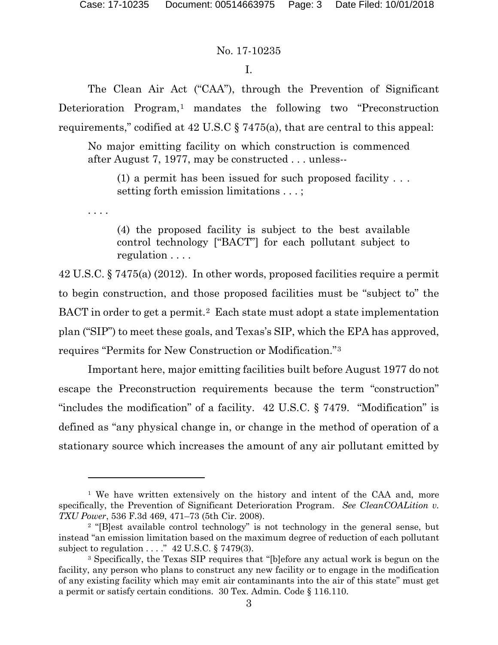. . . .

 $\overline{a}$ 

## No. 17-10235

## I.

The Clean Air Act ("CAA"), through the Prevention of Significant Deterioration Program,<sup>[1](#page-2-0)</sup> mandates the following two "Preconstruction" requirements," codified at 42 U.S.C § 7475(a), that are central to this appeal:

No major emitting facility on which construction is commenced after August 7, 1977, may be constructed . . . unless--

(1) a permit has been issued for such proposed facility . . . setting forth emission limitations . . . ;

(4) the proposed facility is subject to the best available control technology ["BACT"] for each pollutant subject to regulation . . . .

42 U.S.C. § 7475(a) (2012). In other words, proposed facilities require a permit to begin construction, and those proposed facilities must be "subject to" the BACT in order to get a permit.<sup>[2](#page-2-1)</sup> Each state must adopt a state implementation plan ("SIP") to meet these goals, and Texas's SIP, which the EPA has approved, requires "Permits for New Construction or Modification."[3](#page-2-2) 

Important here, major emitting facilities built before August 1977 do not escape the Preconstruction requirements because the term "construction" "includes the modification" of a facility. 42 U.S.C. § 7479. "Modification" is defined as "any physical change in, or change in the method of operation of a stationary source which increases the amount of any air pollutant emitted by

<span id="page-2-0"></span><sup>&</sup>lt;sup>1</sup> We have written extensively on the history and intent of the CAA and, more specifically, the Prevention of Significant Deterioration Program. *See CleanCOALition v. TXU Power*, 536 F.3d 469, 471–73 (5th Cir. 2008).

<span id="page-2-1"></span><sup>2</sup> "[B]est available control technology" is not technology in the general sense, but instead "an emission limitation based on the maximum degree of reduction of each pollutant subject to regulation  $\ldots$  ." 42 U.S.C. § 7479(3).

<span id="page-2-2"></span><sup>3</sup> Specifically, the Texas SIP requires that "[b]efore any actual work is begun on the facility, any person who plans to construct any new facility or to engage in the modification of any existing facility which may emit air contaminants into the air of this state" must get a permit or satisfy certain conditions. 30 Tex. Admin. Code § 116.110.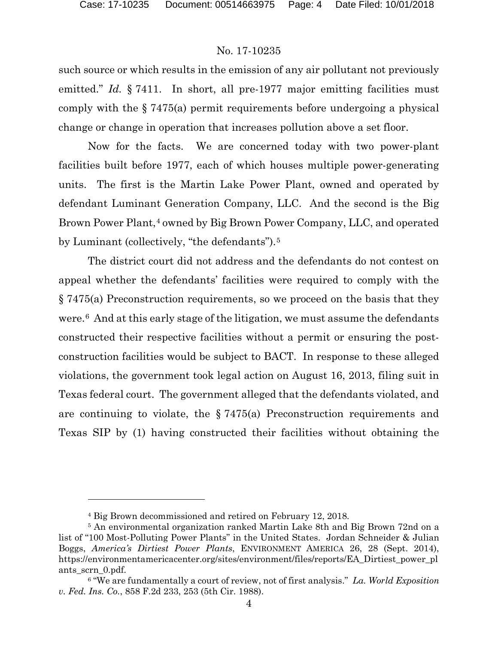## No. 17-10235

such source or which results in the emission of any air pollutant not previously emitted." *Id.* § 7411. In short, all pre-1977 major emitting facilities must comply with the § 7475(a) permit requirements before undergoing a physical change or change in operation that increases pollution above a set floor.

Now for the facts. We are concerned today with two power-plant facilities built before 1977, each of which houses multiple power-generating units. The first is the Martin Lake Power Plant, owned and operated by defendant Luminant Generation Company, LLC. And the second is the Big Brown Power Plant,<sup>[4](#page-3-0)</sup> owned by Big Brown Power Company, LLC, and operated by Luminant (collectively, "the defendants").<sup>[5](#page-3-1)</sup>

The district court did not address and the defendants do not contest on appeal whether the defendants' facilities were required to comply with the § 7475(a) Preconstruction requirements, so we proceed on the basis that they were.[6](#page-3-2) And at this early stage of the litigation, we must assume the defendants constructed their respective facilities without a permit or ensuring the postconstruction facilities would be subject to BACT. In response to these alleged violations, the government took legal action on August 16, 2013, filing suit in Texas federal court. The government alleged that the defendants violated, and are continuing to violate, the § 7475(a) Preconstruction requirements and Texas SIP by (1) having constructed their facilities without obtaining the

<sup>4</sup> Big Brown decommissioned and retired on February 12, 2018.

<span id="page-3-1"></span><span id="page-3-0"></span><sup>5</sup> An environmental organization ranked Martin Lake 8th and Big Brown 72nd on a list of "100 Most-Polluting Power Plants" in the United States. Jordan Schneider & Julian Boggs, *America's Dirtiest Power Plants*, ENVIRONMENT AMERICA 26, 28 (Sept. 2014), https://environmentamericacenter.org/sites/environment/files/reports/EA\_Dirtiest\_power\_pl ants scrn 0.pdf.

<span id="page-3-2"></span><sup>6</sup> "We are fundamentally a court of review, not of first analysis." *La. World Exposition v. Fed. Ins. Co.*, 858 F.2d 233, 253 (5th Cir. 1988).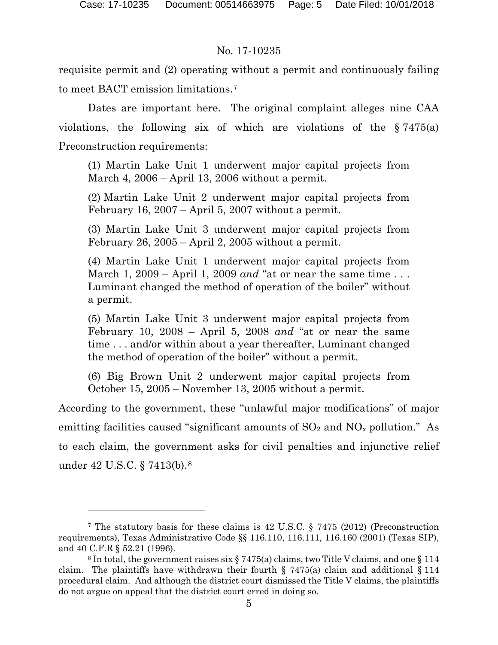## No. 17-10235

requisite permit and (2) operating without a permit and continuously failing to meet BACT emission limitations.[7](#page-4-0)

Dates are important here. The original complaint alleges nine CAA violations, the following six of which are violations of the § 7475(a) Preconstruction requirements:

(1) Martin Lake Unit 1 underwent major capital projects from March 4, 2006 – April 13, 2006 without a permit.

(2) Martin Lake Unit 2 underwent major capital projects from February 16, 2007 – April 5, 2007 without a permit.

(3) Martin Lake Unit 3 underwent major capital projects from February 26, 2005 – April 2, 2005 without a permit.

(4) Martin Lake Unit 1 underwent major capital projects from March 1, 2009 – April 1, 2009 *and* "at or near the same time . . . Luminant changed the method of operation of the boiler" without a permit.

(5) Martin Lake Unit 3 underwent major capital projects from February 10, 2008 – April 5, 2008 *and* "at or near the same time . . . and/or within about a year thereafter, Luminant changed the method of operation of the boiler" without a permit.

(6) Big Brown Unit 2 underwent major capital projects from October 15, 2005 – November 13, 2005 without a permit.

According to the government, these "unlawful major modifications" of major emitting facilities caused "significant amounts of  $SO_2$  and  $NO_x$  pollution." As to each claim, the government asks for civil penalties and injunctive relief under 42 U.S.C. § 7413(b).[8](#page-4-1) 

<span id="page-4-0"></span><sup>7</sup> The statutory basis for these claims is 42 U.S.C. § 7475 (2012) (Preconstruction requirements), Texas Administrative Code §§ 116.110, 116.111, 116.160 (2001) (Texas SIP), and 40 C.F.R § 52.21 (1996).<br><sup>8</sup> In total, the government raises six § 7475(a) claims, two Title V claims, and one § 114

<span id="page-4-1"></span>claim. The plaintiffs have withdrawn their fourth  $\S$  7475(a) claim and additional  $\S$  114 procedural claim. And although the district court dismissed the Title V claims, the plaintiffs do not argue on appeal that the district court erred in doing so.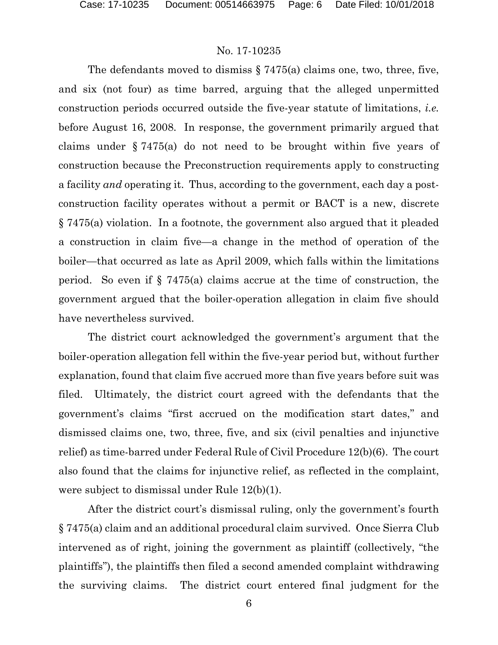The defendants moved to dismiss § 7475(a) claims one, two, three, five, and six (not four) as time barred, arguing that the alleged unpermitted construction periods occurred outside the five-year statute of limitations, *i.e.* before August 16, 2008. In response, the government primarily argued that claims under § 7475(a) do not need to be brought within five years of construction because the Preconstruction requirements apply to constructing a facility *and* operating it. Thus, according to the government, each day a postconstruction facility operates without a permit or BACT is a new, discrete § 7475(a) violation. In a footnote, the government also argued that it pleaded a construction in claim five—a change in the method of operation of the boiler—that occurred as late as April 2009, which falls within the limitations period. So even if  $\S$  7475(a) claims accrue at the time of construction, the government argued that the boiler-operation allegation in claim five should have nevertheless survived.

The district court acknowledged the government's argument that the boiler-operation allegation fell within the five-year period but, without further explanation, found that claim five accrued more than five years before suit was filed. Ultimately, the district court agreed with the defendants that the government's claims "first accrued on the modification start dates," and dismissed claims one, two, three, five, and six (civil penalties and injunctive relief) as time-barred under Federal Rule of Civil Procedure 12(b)(6). The court also found that the claims for injunctive relief, as reflected in the complaint, were subject to dismissal under Rule 12(b)(1).

After the district court's dismissal ruling, only the government's fourth § 7475(a) claim and an additional procedural claim survived. Once Sierra Club intervened as of right, joining the government as plaintiff (collectively, "the plaintiffs"), the plaintiffs then filed a second amended complaint withdrawing the surviving claims. The district court entered final judgment for the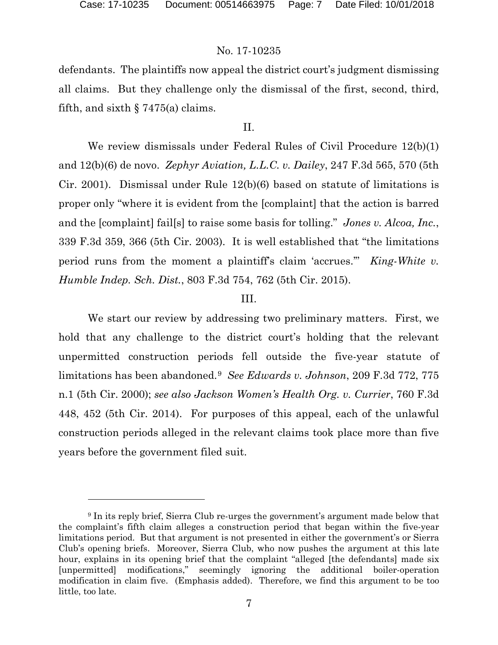## No. 17-10235

defendants. The plaintiffs now appeal the district court's judgment dismissing all claims. But they challenge only the dismissal of the first, second, third, fifth, and sixth  $\S 7475(a)$  claims.

## II.

We review dismissals under Federal Rules of Civil Procedure 12(b)(1) and 12(b)(6) de novo. *Zephyr Aviation, L.L.C. v. Dailey*, 247 F.3d 565, 570 (5th Cir. 2001). Dismissal under Rule 12(b)(6) based on statute of limitations is proper only "where it is evident from the [complaint] that the action is barred and the [complaint] fail[s] to raise some basis for tolling." *Jones v. Alcoa, Inc.*, 339 F.3d 359, 366 (5th Cir. 2003). It is well established that "the limitations period runs from the moment a plaintiff's claim 'accrues.'" *King-White v. Humble Indep. Sch. Dist.*, 803 F.3d 754, 762 (5th Cir. 2015).

#### III.

We start our review by addressing two preliminary matters. First, we hold that any challenge to the district court's holding that the relevant unpermitted construction periods fell outside the five-year statute of limitations has been abandoned.[9](#page-6-0) *See Edwards v. Johnson*, 209 F.3d 772, 775 n.1 (5th Cir. 2000); *see also Jackson Women's Health Org. v. Currier*, 760 F.3d 448, 452 (5th Cir. 2014). For purposes of this appeal, each of the unlawful construction periods alleged in the relevant claims took place more than five years before the government filed suit.

<span id="page-6-0"></span><sup>9</sup> In its reply brief, Sierra Club re-urges the government's argument made below that the complaint's fifth claim alleges a construction period that began within the five-year limitations period. But that argument is not presented in either the government's or Sierra Club's opening briefs. Moreover, Sierra Club, who now pushes the argument at this late hour, explains in its opening brief that the complaint "alleged [the defendants] made six [unpermitted] modifications," seemingly ignoring the additional boiler-operation modification in claim five. (Emphasis added). Therefore, we find this argument to be too little, too late.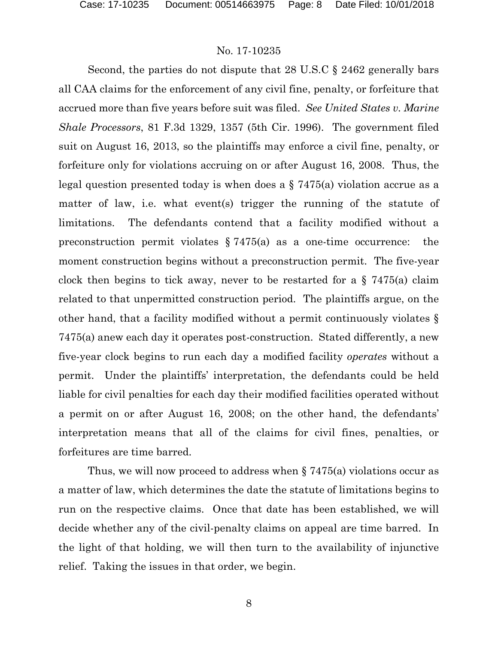Second, the parties do not dispute that 28 U.S.C § 2462 generally bars all CAA claims for the enforcement of any civil fine, penalty, or forfeiture that accrued more than five years before suit was filed. *See United States v. Marine Shale Processors*, 81 F.3d 1329, 1357 (5th Cir. 1996).The government filed suit on August 16, 2013, so the plaintiffs may enforce a civil fine, penalty, or forfeiture only for violations accruing on or after August 16, 2008. Thus, the legal question presented today is when does a  $\S$  7475(a) violation accrue as a matter of law, i.e. what events trigger the running of the statute of limitations. The defendants contend that a facility modified without a preconstruction permit violates  $\S 7475(a)$  as a one-time occurrence: the moment construction begins without a preconstruction permit. The five-year clock then begins to tick away, never to be restarted for a  $\S$  7475(a) claim related to that unpermitted construction period. The plaintiffs argue, on the other hand, that a facility modified without a permit continuously violates § 7475(a) anew each day it operates post-construction. Stated differently, a new five-year clock begins to run each day a modified facility *operates* without a permit. Under the plaintiffs' interpretation, the defendants could be held liable for civil penalties for each day their modified facilities operated without a permit on or after August 16, 2008; on the other hand, the defendants' interpretation means that all of the claims for civil fines, penalties, or forfeitures are time barred.

Thus, we will now proceed to address when § 7475(a) violations occur as a matter of law, which determines the date the statute of limitations begins to run on the respective claims. Once that date has been established, we will decide whether any of the civil-penalty claims on appeal are time barred. In the light of that holding, we will then turn to the availability of injunctive relief. Taking the issues in that order, we begin.

8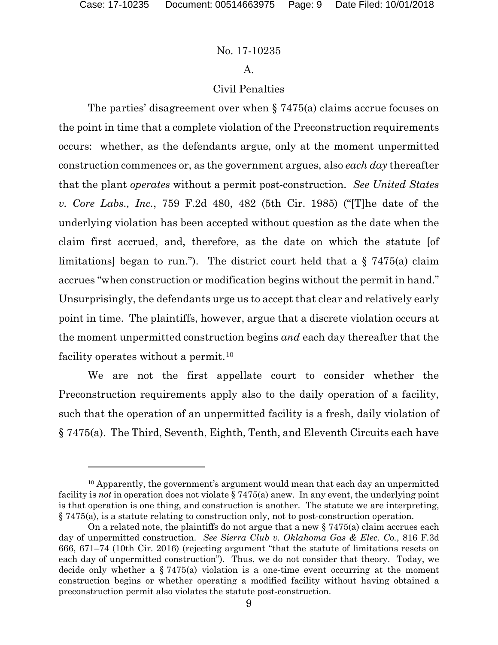#### No. 17-10235

#### A.

## Civil Penalties

The parties' disagreement over when § 7475(a) claims accrue focuses on the point in time that a complete violation of the Preconstruction requirements occurs: whether, as the defendants argue, only at the moment unpermitted construction commences or, as the government argues, also *each day* thereafter that the plant *operates* without a permit post-construction. *See United States v. Core Labs., Inc.*, 759 F.2d 480, 482 (5th Cir. 1985) ("[T]he date of the underlying violation has been accepted without question as the date when the claim first accrued, and, therefore, as the date on which the statute [of limitations] began to run."). The district court held that a  $\S$  7475(a) claim accrues "when construction or modification begins without the permit in hand." Unsurprisingly, the defendants urge us to accept that clear and relatively early point in time. The plaintiffs, however, argue that a discrete violation occurs at the moment unpermitted construction begins *and* each day thereafter that the facility operates without a permit.<sup>[10](#page-8-0)</sup>

We are not the first appellate court to consider whether the Preconstruction requirements apply also to the daily operation of a facility, such that the operation of an unpermitted facility is a fresh, daily violation of § 7475(a). The Third, Seventh, Eighth, Tenth, and Eleventh Circuits each have

<span id="page-8-0"></span><sup>&</sup>lt;sup>10</sup> Apparently, the government's argument would mean that each day an unpermitted facility is *not* in operation does not violate § 7475(a) anew. In any event, the underlying point is that operation is one thing, and construction is another. The statute we are interpreting, § 7475(a), is a statute relating to construction only, not to post-construction operation.

On a related note, the plaintiffs do not argue that a new  $\S 7475(a)$  claim accrues each day of unpermitted construction. *See Sierra Club v. Oklahoma Gas & Elec. Co.*, 816 F.3d 666, 671–74 (10th Cir. 2016) (rejecting argument "that the statute of limitations resets on each day of unpermitted construction"). Thus, we do not consider that theory. Today, we decide only whether a  $\S$  7475(a) violation is a one-time event occurring at the moment construction begins or whether operating a modified facility without having obtained a preconstruction permit also violates the statute post-construction.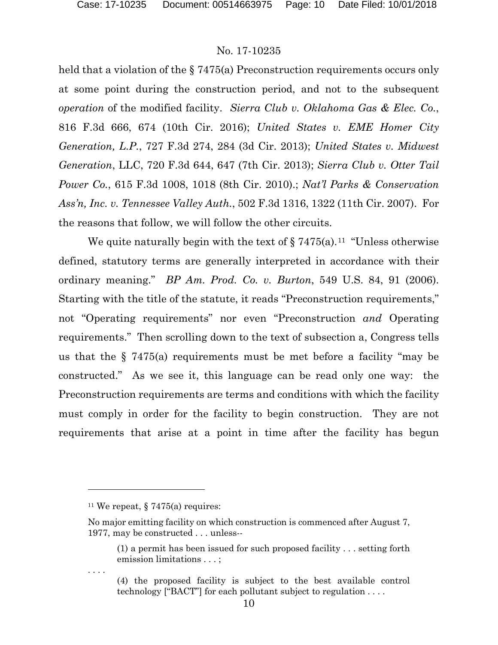held that a violation of the § 7475(a) Preconstruction requirements occurs only at some point during the construction period, and not to the subsequent *operation* of the modified facility. *Sierra Club v. Oklahoma Gas & Elec. Co.*, 816 F.3d 666, 674 (10th Cir. 2016); *United States v. EME Homer City Generation, L.P.*, 727 F.3d 274, 284 (3d Cir. 2013); *United States v. Midwest Generation*, LLC, 720 F.3d 644, 647 (7th Cir. 2013); *Sierra Club v. Otter Tail Power Co.*, 615 F.3d 1008, 1018 (8th Cir. 2010).; *Nat'l Parks & Conservation Ass'n, Inc. v. Tennessee Valley Auth.*, 502 F.3d 1316, 1322 (11th Cir. 2007). For the reasons that follow, we will follow the other circuits.

We quite naturally begin with the text of  $\S 7475(a)$ .<sup>11</sup> "Unless otherwise" defined, statutory terms are generally interpreted in accordance with their ordinary meaning." *BP Am. Prod. Co. v. Burton*, 549 U.S. 84, 91 (2006). Starting with the title of the statute, it reads "Preconstruction requirements," not "Operating requirements" nor even "Preconstruction *and* Operating requirements." Then scrolling down to the text of subsection a, Congress tells us that the § 7475(a) requirements must be met before a facility "may be constructed." As we see it, this language can be read only one way: the Preconstruction requirements are terms and conditions with which the facility must comply in order for the facility to begin construction. They are not requirements that arise at a point in time after the facility has begun

 $\overline{a}$ 

. . . .

<span id="page-9-0"></span><sup>&</sup>lt;sup>11</sup> We repeat, § 7475(a) requires:

No major emitting facility on which construction is commenced after August 7, 1977, may be constructed . . . unless--

<sup>(1)</sup> a permit has been issued for such proposed facility . . . setting forth emission limitations . . . ;

<sup>(4)</sup> the proposed facility is subject to the best available control technology ["BACT"] for each pollutant subject to regulation . . . .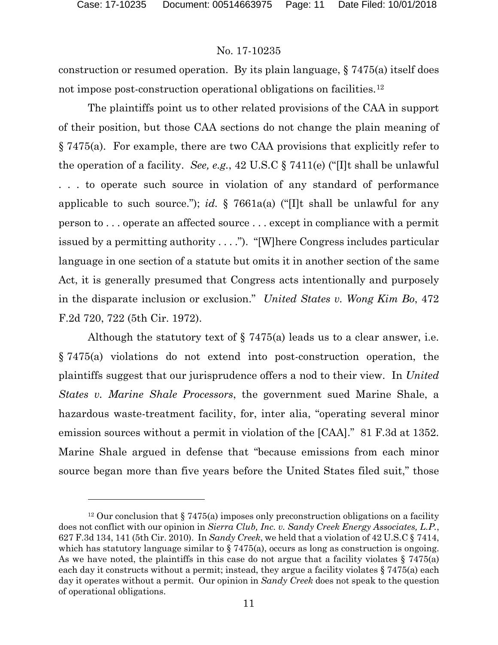## No. 17-10235

construction or resumed operation. By its plain language, § 7475(a) itself does not impose post-construction operational obligations on facilities.[12](#page-10-0)

The plaintiffs point us to other related provisions of the CAA in support of their position, but those CAA sections do not change the plain meaning of § 7475(a). For example, there are two CAA provisions that explicitly refer to the operation of a facility. *See, e.g.*, 42 U.S.C § 7411(e) ("[I]t shall be unlawful . . . to operate such source in violation of any standard of performance applicable to such source."); *id.* § 7661a(a) ("[I]t shall be unlawful for any person to . . . operate an affected source . . . except in compliance with a permit issued by a permitting authority . . . ."). "[W]here Congress includes particular language in one section of a statute but omits it in another section of the same Act, it is generally presumed that Congress acts intentionally and purposely in the disparate inclusion or exclusion." *United States v. Wong Kim Bo*, 472 F.2d 720, 722 (5th Cir. 1972).

Although the statutory text of  $\S 7475(a)$  leads us to a clear answer, i.e. § 7475(a) violations do not extend into post-construction operation, the plaintiffs suggest that our jurisprudence offers a nod to their view. In *United States v. Marine Shale Processors*, the government sued Marine Shale, a hazardous waste-treatment facility, for, inter alia, "operating several minor emission sources without a permit in violation of the [CAA]." 81 F.3d at 1352. Marine Shale argued in defense that "because emissions from each minor source began more than five years before the United States filed suit," those

<span id="page-10-0"></span><sup>&</sup>lt;sup>12</sup> Our conclusion that  $\S 7475(a)$  imposes only preconstruction obligations on a facility does not conflict with our opinion in *Sierra Club, Inc. v. Sandy Creek Energy Associates, L.P.*, 627 F.3d 134, 141 (5th Cir. 2010). In *Sandy Creek*, we held that a violation of 42 U.S.C § 7414, which has statutory language similar to  $\S 7475(a)$ , occurs as long as construction is ongoing. As we have noted, the plaintiffs in this case do not argue that a facility violates  $\S 7475(a)$ each day it constructs without a permit; instead, they argue a facility violates  $\S 7475(a)$  each day it operates without a permit. Our opinion in *Sandy Creek* does not speak to the question of operational obligations.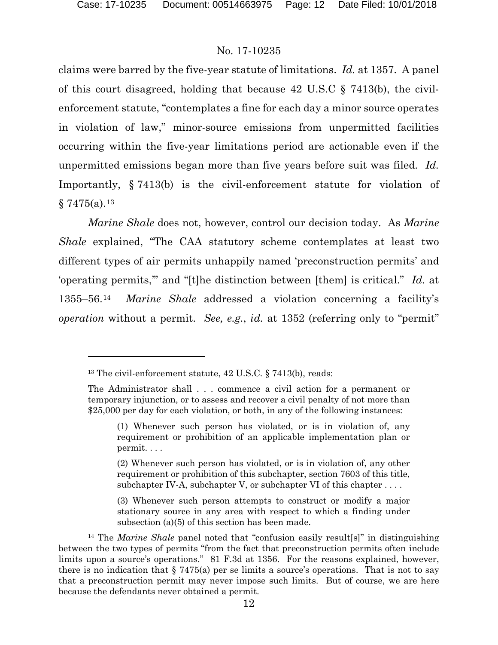## No. 17-10235

claims were barred by the five-year statute of limitations. *Id.* at 1357. A panel of this court disagreed, holding that because 42 U.S.C § 7413(b), the civilenforcement statute, "contemplates a fine for each day a minor source operates in violation of law," minor-source emissions from unpermitted facilities occurring within the five-year limitations period are actionable even if the unpermitted emissions began more than five years before suit was filed. *Id.* Importantly, § 7413(b) is the civil-enforcement statute for violation of  $§ 7475(a).^{13}$  $§ 7475(a).^{13}$  $§ 7475(a).^{13}$ 

*Marine Shale* does not, however, control our decision today. As *Marine Shale* explained, "The CAA statutory scheme contemplates at least two different types of air permits unhappily named 'preconstruction permits' and 'operating permits,'" and "[t]he distinction between [them] is critical." *Id.* at 1355–56.[14](#page-11-1) *Marine Shale* addressed a violation concerning a facility's *operation* without a permit. *See, e.g.*, *id.* at 1352 (referring only to "permit"

<span id="page-11-0"></span><sup>&</sup>lt;sup>13</sup> The civil-enforcement statute, 42 U.S.C. § 7413(b), reads:

The Administrator shall . . . commence a civil action for a permanent or temporary injunction, or to assess and recover a civil penalty of not more than \$25,000 per day for each violation, or both, in any of the following instances:

<sup>(1)</sup> Whenever such person has violated, or is in violation of, any requirement or prohibition of an applicable implementation plan or permit. . . .

<sup>(2)</sup> Whenever such person has violated, or is in violation of, any other requirement or prohibition of this subchapter, section 7603 of this title, subchapter IV-A, subchapter V, or subchapter VI of this chapter  $\dots$ .

<sup>(3)</sup> Whenever such person attempts to construct or modify a major stationary source in any area with respect to which a finding under subsection (a)(5) of this section has been made.

<span id="page-11-1"></span><sup>14</sup> The *Marine Shale* panel noted that "confusion easily result[s]" in distinguishing between the two types of permits "from the fact that preconstruction permits often include limits upon a source's operations." 81 F.3d at 1356. For the reasons explained, however, there is no indication that  $\S 7475(a)$  per se limits a source's operations. That is not to say that a preconstruction permit may never impose such limits. But of course, we are here because the defendants never obtained a permit.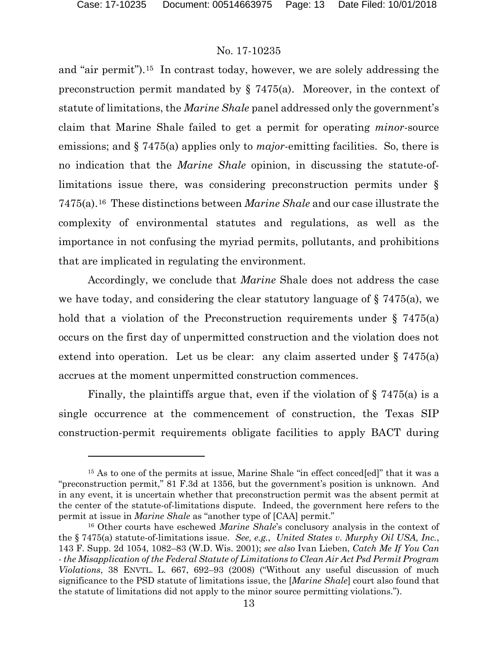## No. 17-10235

and "air permit").[15](#page-12-0) In contrast today, however, we are solely addressing the preconstruction permit mandated by § 7475(a). Moreover, in the context of statute of limitations, the *Marine Shale* panel addressed only the government's claim that Marine Shale failed to get a permit for operating *minor*-source emissions; and § 7475(a) applies only to *major*-emitting facilities. So, there is no indication that the *Marine Shale* opinion, in discussing the statute-oflimitations issue there, was considering preconstruction permits under § 7475(a).[16](#page-12-1) These distinctions between *Marine Shale* and our case illustrate the complexity of environmental statutes and regulations, as well as the importance in not confusing the myriad permits, pollutants, and prohibitions that are implicated in regulating the environment.

Accordingly, we conclude that *Marine* Shale does not address the case we have today, and considering the clear statutory language of  $\S 7475(a)$ , we hold that a violation of the Preconstruction requirements under  $\S$  7475(a) occurs on the first day of unpermitted construction and the violation does not extend into operation. Let us be clear: any claim asserted under  $\S 7475(a)$ accrues at the moment unpermitted construction commences.

Finally, the plaintiffs argue that, even if the violation of  $\S$  7475(a) is a single occurrence at the commencement of construction, the Texas SIP construction-permit requirements obligate facilities to apply BACT during

<span id="page-12-0"></span><sup>&</sup>lt;sup>15</sup> As to one of the permits at issue, Marine Shale "in effect conced[ed]" that it was a "preconstruction permit," 81 F.3d at 1356, but the government's position is unknown. And in any event, it is uncertain whether that preconstruction permit was the absent permit at the center of the statute-of-limitations dispute. Indeed, the government here refers to the permit at issue in *Marine Shale* as "another type of [CAA] permit."

<span id="page-12-1"></span><sup>16</sup> Other courts have eschewed *Marine Shale*'s conclusory analysis in the context of the § 7475(a) statute-of-limitations issue. *See, e.g.*, *United States v. Murphy Oil USA, Inc.*, 143 F. Supp. 2d 1054, 1082–83 (W.D. Wis. 2001); *see also* Ivan Lieben, *Catch Me If You Can - the Misapplication of the Federal Statute of Limitations to Clean Air Act Psd Permit Program Violations*, 38 ENVTL. L. 667, 692–93 (2008) ("Without any useful discussion of much significance to the PSD statute of limitations issue, the [*Marine Shale*] court also found that the statute of limitations did not apply to the minor source permitting violations.").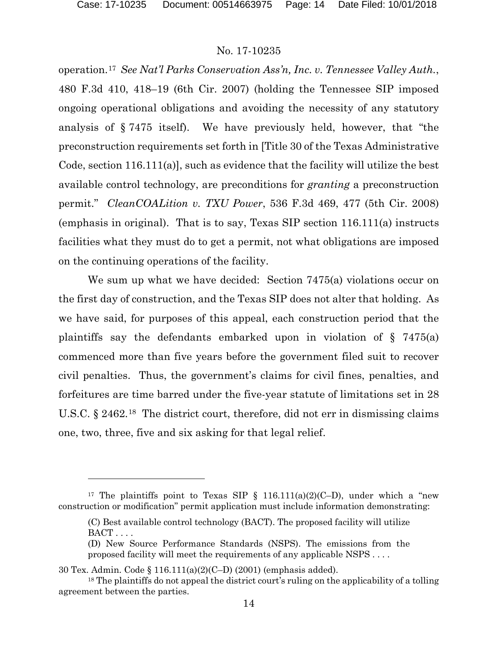## No. 17-10235

operation.[17](#page-13-0) *See Nat'l Parks Conservation Ass'n, Inc. v. Tennessee Valley Auth.*, 480 F.3d 410, 418–19 (6th Cir. 2007) (holding the Tennessee SIP imposed ongoing operational obligations and avoiding the necessity of any statutory analysis of § 7475 itself). We have previously held, however, that "the preconstruction requirements set forth in [Title 30 of the Texas Administrative Code, section 116.111(a)], such as evidence that the facility will utilize the best available control technology, are preconditions for *granting* a preconstruction permit." *CleanCOALition v. TXU Power*, 536 F.3d 469, 477 (5th Cir. 2008) (emphasis in original). That is to say, Texas SIP section 116.111(a) instructs facilities what they must do to get a permit, not what obligations are imposed on the continuing operations of the facility.

We sum up what we have decided: Section 7475(a) violations occur on the first day of construction, and the Texas SIP does not alter that holding. As we have said, for purposes of this appeal, each construction period that the plaintiffs say the defendants embarked upon in violation of § 7475(a) commenced more than five years before the government filed suit to recover civil penalties. Thus, the government's claims for civil fines, penalties, and forfeitures are time barred under the five-year statute of limitations set in 28 U.S.C. § 2462.[18](#page-13-1) The district court, therefore, did not err in dismissing claims one, two, three, five and six asking for that legal relief.

<span id="page-13-0"></span><sup>&</sup>lt;sup>17</sup> The plaintiffs point to Texas SIP § 116.111(a)(2)(C-D), under which a "new construction or modification" permit application must include information demonstrating:

<sup>(</sup>C) Best available control technology (BACT). The proposed facility will utilize  $BACT \ldots$ 

<sup>(</sup>D) New Source Performance Standards (NSPS). The emissions from the proposed facility will meet the requirements of any applicable NSPS . . . .

<sup>30</sup> Tex. Admin. Code § 116.111(a)(2)(C–D) (2001) (emphasis added).

<span id="page-13-1"></span><sup>&</sup>lt;sup>18</sup> The plaintiffs do not appeal the district court's ruling on the applicability of a tolling agreement between the parties.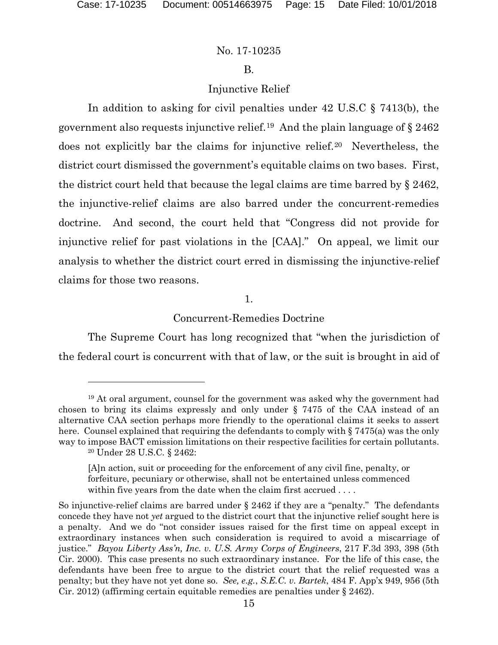## No. 17-10235

## B.

## Injunctive Relief

In addition to asking for civil penalties under 42 U.S.C § 7413(b), the government also requests injunctive relief.<sup>19</sup> And the plain language of  $\S 2462$ does not explicitly bar the claims for injunctive relief.[20](#page-14-1) Nevertheless, the district court dismissed the government's equitable claims on two bases. First, the district court held that because the legal claims are time barred by § 2462, the injunctive-relief claims are also barred under the concurrent-remedies doctrine. And second, the court held that "Congress did not provide for injunctive relief for past violations in the [CAA]." On appeal, we limit our analysis to whether the district court erred in dismissing the injunctive-relief claims for those two reasons.

#### 1.

Concurrent-Remedies Doctrine

The Supreme Court has long recognized that "when the jurisdiction of the federal court is concurrent with that of law, or the suit is brought in aid of

<span id="page-14-1"></span><span id="page-14-0"></span><sup>19</sup> At oral argument, counsel for the government was asked why the government had chosen to bring its claims expressly and only under § 7475 of the CAA instead of an alternative CAA section perhaps more friendly to the operational claims it seeks to assert here. Counsel explained that requiring the defendants to comply with § 7475(a) was the only way to impose BACT emission limitations on their respective facilities for certain pollutants. <sup>20</sup> Under 28 U.S.C. § 2462:

<sup>[</sup>A]n action, suit or proceeding for the enforcement of any civil fine, penalty, or forfeiture, pecuniary or otherwise, shall not be entertained unless commenced within five years from the date when the claim first accrued ....

So injunctive-relief claims are barred under  $\S 2462$  if they are a "penalty." The defendants concede they have not *yet* argued to the district court that the injunctive relief sought here is a penalty. And we do "not consider issues raised for the first time on appeal except in extraordinary instances when such consideration is required to avoid a miscarriage of justice." *Bayou Liberty Ass'n, Inc. v. U.S. Army Corps of Engineers*, 217 F.3d 393, 398 (5th Cir. 2000). This case presents no such extraordinary instance. For the life of this case, the defendants have been free to argue to the district court that the relief requested was a penalty; but they have not yet done so. *See, e.g.*, *S.E.C. v. Bartek*, 484 F. App'x 949, 956 (5th Cir. 2012) (affirming certain equitable remedies are penalties under § 2462).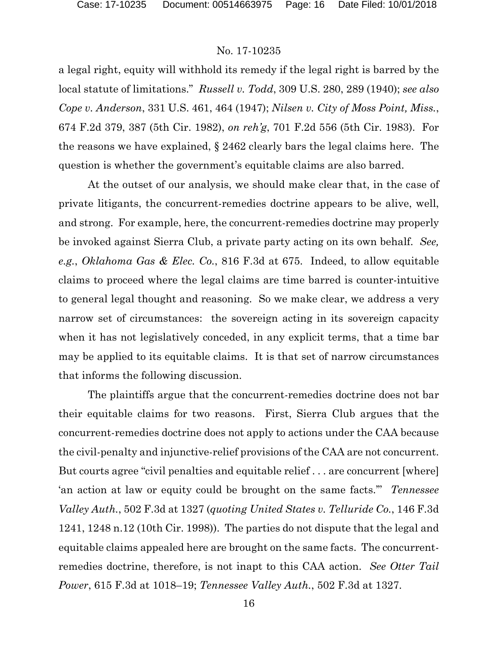a legal right, equity will withhold its remedy if the legal right is barred by the local statute of limitations." *Russell v. Todd*, 309 U.S. 280, 289 (1940); *see also Cope v. Anderson*, 331 U.S. 461, 464 (1947); *Nilsen v. City of Moss Point, Miss.*, 674 F.2d 379, 387 (5th Cir. 1982), *on reh'g*, 701 F.2d 556 (5th Cir. 1983). For the reasons we have explained, § 2462 clearly bars the legal claims here. The question is whether the government's equitable claims are also barred.

At the outset of our analysis, we should make clear that, in the case of private litigants, the concurrent-remedies doctrine appears to be alive, well, and strong. For example, here, the concurrent-remedies doctrine may properly be invoked against Sierra Club, a private party acting on its own behalf. *See, e.g.*, *Oklahoma Gas & Elec. Co.*, 816 F.3d at 675. Indeed, to allow equitable claims to proceed where the legal claims are time barred is counter-intuitive to general legal thought and reasoning. So we make clear, we address a very narrow set of circumstances: the sovereign acting in its sovereign capacity when it has not legislatively conceded, in any explicit terms, that a time bar may be applied to its equitable claims. It is that set of narrow circumstances that informs the following discussion.

The plaintiffs argue that the concurrent-remedies doctrine does not bar their equitable claims for two reasons. First, Sierra Club argues that the concurrent-remedies doctrine does not apply to actions under the CAA because the civil-penalty and injunctive-relief provisions of the CAA are not concurrent. But courts agree "civil penalties and equitable relief . . . are concurrent [where] 'an action at law or equity could be brought on the same facts.'" *Tennessee Valley Auth.*, 502 F.3d at 1327 (*quoting United States v. Telluride Co.*, 146 F.3d 1241, 1248 n.12 (10th Cir. 1998)). The parties do not dispute that the legal and equitable claims appealed here are brought on the same facts. The concurrentremedies doctrine, therefore, is not inapt to this CAA action. *See Otter Tail Power*, 615 F.3d at 1018–19; *Tennessee Valley Auth.*, 502 F.3d at 1327.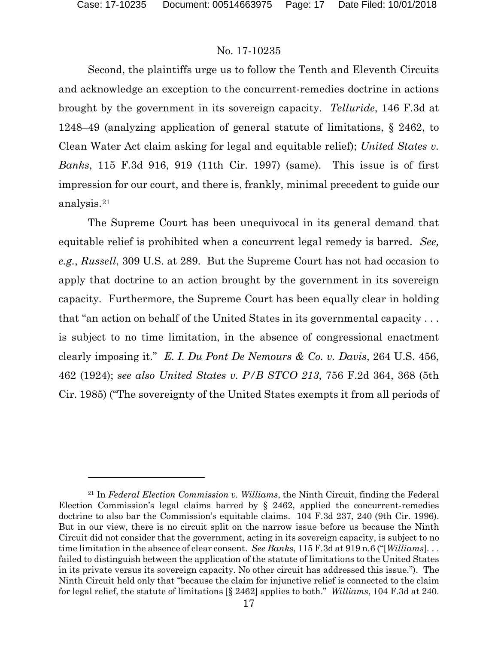## No. 17-10235

Second, the plaintiffs urge us to follow the Tenth and Eleventh Circuits and acknowledge an exception to the concurrent-remedies doctrine in actions brought by the government in its sovereign capacity. *Telluride*, 146 F.3d at 1248–49 (analyzing application of general statute of limitations, § 2462, to Clean Water Act claim asking for legal and equitable relief); *United States v. Banks*, 115 F.3d 916, 919 (11th Cir. 1997) (same). This issue is of first impression for our court, and there is, frankly, minimal precedent to guide our analysis.[21](#page-16-0)

The Supreme Court has been unequivocal in its general demand that equitable relief is prohibited when a concurrent legal remedy is barred. *See, e.g.*, *Russell*, 309 U.S. at 289. But the Supreme Court has not had occasion to apply that doctrine to an action brought by the government in its sovereign capacity. Furthermore, the Supreme Court has been equally clear in holding that "an action on behalf of the United States in its governmental capacity . . . is subject to no time limitation, in the absence of congressional enactment clearly imposing it." *E. I. Du Pont De Nemours & Co. v. Davis*, 264 U.S. 456, 462 (1924); *see also United States v. P/B STCO 213*, 756 F.2d 364, 368 (5th Cir. 1985) ("The sovereignty of the United States exempts it from all periods of

<span id="page-16-0"></span><sup>21</sup> In *Federal Election Commission v. Williams*, the Ninth Circuit, finding the Federal Election Commission's legal claims barred by § 2462, applied the concurrent-remedies doctrine to also bar the Commission's equitable claims. 104 F.3d 237, 240 (9th Cir. 1996). But in our view, there is no circuit split on the narrow issue before us because the Ninth Circuit did not consider that the government, acting in its sovereign capacity, is subject to no time limitation in the absence of clear consent. *See Banks*, 115 F.3d at 919 n.6 ("[*Williams*]. . . failed to distinguish between the application of the statute of limitations to the United States in its private versus its sovereign capacity. No other circuit has addressed this issue."). The Ninth Circuit held only that "because the claim for injunctive relief is connected to the claim for legal relief, the statute of limitations [§ 2462] applies to both." *Williams*, 104 F.3d at 240.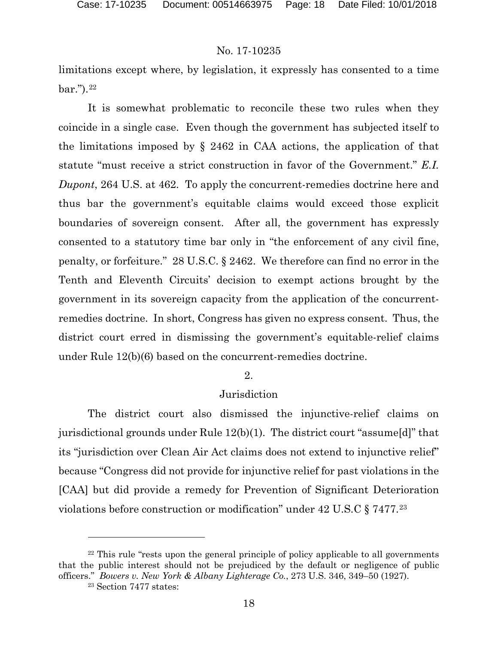limitations except where, by legislation, it expressly has consented to a time  $bar."$ ).  $^{22}$  $^{22}$  $^{22}$ 

It is somewhat problematic to reconcile these two rules when they coincide in a single case. Even though the government has subjected itself to the limitations imposed by § 2462 in CAA actions, the application of that statute "must receive a strict construction in favor of the Government." *E.I. Dupont*, 264 U.S. at 462. To apply the concurrent-remedies doctrine here and thus bar the government's equitable claims would exceed those explicit boundaries of sovereign consent. After all, the government has expressly consented to a statutory time bar only in "the enforcement of any civil fine, penalty, or forfeiture." 28 U.S.C. § 2462. We therefore can find no error in the Tenth and Eleventh Circuits' decision to exempt actions brought by the government in its sovereign capacity from the application of the concurrentremedies doctrine. In short, Congress has given no express consent. Thus, the district court erred in dismissing the government's equitable-relief claims under Rule 12(b)(6) based on the concurrent-remedies doctrine.

#### 2.

## Jurisdiction

The district court also dismissed the injunctive-relief claims on jurisdictional grounds under Rule 12(b)(1). The district court "assume[d]" that its "jurisdiction over Clean Air Act claims does not extend to injunctive relief" because "Congress did not provide for injunctive relief for past violations in the [CAA] but did provide a remedy for Prevention of Significant Deterioration violations before construction or modification" under 42 U.S.C § 7477.[23](#page-17-1)

 $\overline{a}$ 

<span id="page-17-1"></span><span id="page-17-0"></span><sup>&</sup>lt;sup>22</sup> This rule "rests upon the general principle of policy applicable to all governments that the public interest should not be prejudiced by the default or negligence of public officers." *Bowers v. New York & Albany Lighterage Co.*, 273 U.S. 346, 349–50 (1927).

<sup>23</sup> Section 7477 states: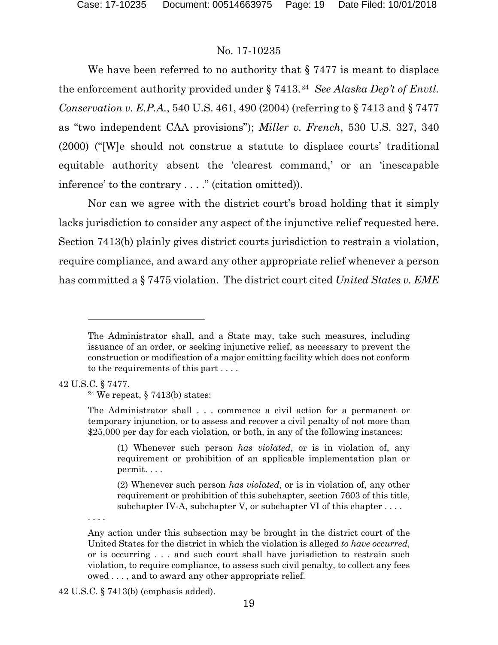We have been referred to no authority that  $\S 7477$  is meant to displace the enforcement authority provided under § 7413.[24](#page-18-0) *See Alaska Dep't of Envtl. Conservation v. E.P.A.*, 540 U.S. 461, 490 (2004) (referring to § 7413 and § 7477 as "two independent CAA provisions"); *Miller v. French*, 530 U.S. 327, 340 (2000) ("[W]e should not construe a statute to displace courts' traditional equitable authority absent the 'clearest command,' or an 'inescapable inference' to the contrary . . . ." (citation omitted)).

Nor can we agree with the district court's broad holding that it simply lacks jurisdiction to consider any aspect of the injunctive relief requested here. Section 7413(b) plainly gives district courts jurisdiction to restrain a violation, require compliance, and award any other appropriate relief whenever a person has committed a § 7475 violation. The district court cited *United States v. EME* 

<span id="page-18-0"></span>42 U.S.C. § 7477.

 $\overline{a}$ 

<sup>24</sup> We repeat,  $\S$  7413(b) states:

(2) Whenever such person *has violated*, or is in violation of, any other requirement or prohibition of this subchapter, section 7603 of this title, subchapter IV-A, subchapter V, or subchapter VI of this chapter . . . .

. . . .

The Administrator shall, and a State may, take such measures, including issuance of an order, or seeking injunctive relief, as necessary to prevent the construction or modification of a major emitting facility which does not conform to the requirements of this part . . . .

The Administrator shall . . . commence a civil action for a permanent or temporary injunction, or to assess and recover a civil penalty of not more than \$25,000 per day for each violation, or both, in any of the following instances:

<sup>(1)</sup> Whenever such person *has violated*, or is in violation of, any requirement or prohibition of an applicable implementation plan or permit. . . .

Any action under this subsection may be brought in the district court of the United States for the district in which the violation is alleged *to have occurred*, or is occurring . . . and such court shall have jurisdiction to restrain such violation, to require compliance, to assess such civil penalty, to collect any fees owed . . . , and to award any other appropriate relief.

<sup>42</sup> U.S.C. § 7413(b) (emphasis added).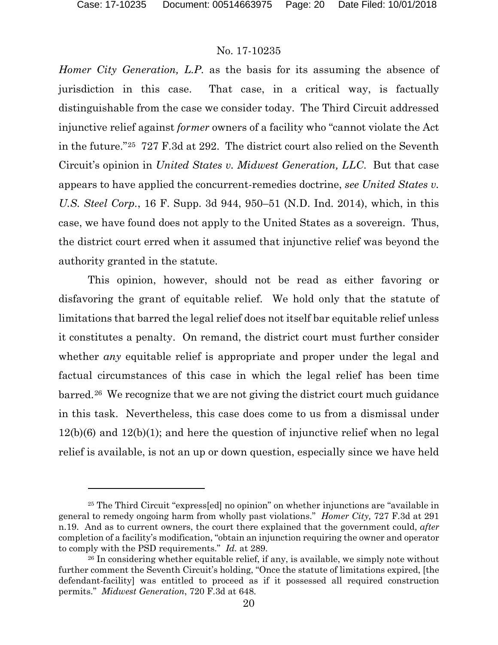l

## No. 17-10235

*Homer City Generation, L.P.* as the basis for its assuming the absence of jurisdiction in this case. That case, in a critical way, is factually distinguishable from the case we consider today. The Third Circuit addressed injunctive relief against *former* owners of a facility who "cannot violate the Act in the future."[25](#page-19-0) 727 F.3d at 292. The district court also relied on the Seventh Circuit's opinion in *United States v. Midwest Generation, LLC*. But that case appears to have applied the concurrent-remedies doctrine, *see United States v. U.S. Steel Corp.*, 16 F. Supp. 3d 944, 950–51 (N.D. Ind. 2014), which, in this case, we have found does not apply to the United States as a sovereign. Thus, the district court erred when it assumed that injunctive relief was beyond the authority granted in the statute.

This opinion, however, should not be read as either favoring or disfavoring the grant of equitable relief. We hold only that the statute of limitations that barred the legal relief does not itself bar equitable relief unless it constitutes a penalty. On remand, the district court must further consider whether *any* equitable relief is appropriate and proper under the legal and factual circumstances of this case in which the legal relief has been time barred.[26](#page-19-1) We recognize that we are not giving the district court much guidance in this task. Nevertheless, this case does come to us from a dismissal under 12(b)(6) and 12(b)(1); and here the question of injunctive relief when no legal relief is available, is not an up or down question, especially since we have held

<span id="page-19-0"></span><sup>25</sup> The Third Circuit "express[ed] no opinion" on whether injunctions are "available in general to remedy ongoing harm from wholly past violations." *Homer City,* 727 F.3d at 291 n.19. And as to current owners, the court there explained that the government could, *after* completion of a facility's modification, "obtain an injunction requiring the owner and operator to comply with the PSD requirements." *Id.* at 289.

<span id="page-19-1"></span><sup>&</sup>lt;sup>26</sup> In considering whether equitable relief, if any, is available, we simply note without further comment the Seventh Circuit's holding, "Once the statute of limitations expired, [the defendant-facility] was entitled to proceed as if it possessed all required construction permits." *Midwest Generation*, 720 F.3d at 648.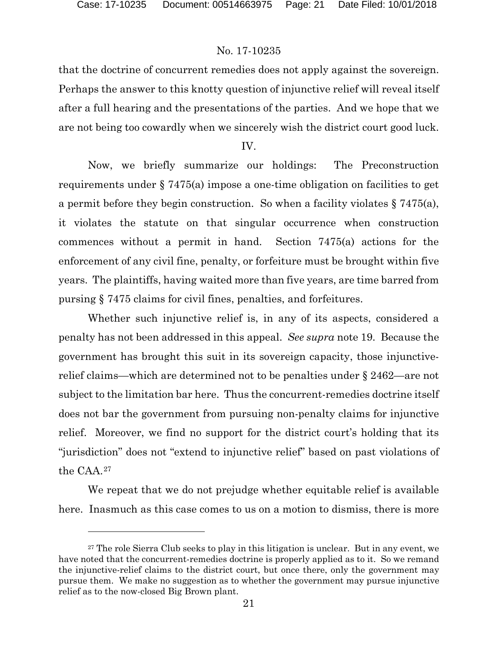l

## No. 17-10235

that the doctrine of concurrent remedies does not apply against the sovereign. Perhaps the answer to this knotty question of injunctive relief will reveal itself after a full hearing and the presentations of the parties. And we hope that we are not being too cowardly when we sincerely wish the district court good luck.

IV.

Now, we briefly summarize our holdings: The Preconstruction requirements under § 7475(a) impose a one-time obligation on facilities to get a permit before they begin construction. So when a facility violates § 7475(a), it violates the statute on that singular occurrence when construction commences without a permit in hand. Section 7475(a) actions for the enforcement of any civil fine, penalty, or forfeiture must be brought within five years. The plaintiffs, having waited more than five years, are time barred from pursing § 7475 claims for civil fines, penalties, and forfeitures.

Whether such injunctive relief is, in any of its aspects, considered a penalty has not been addressed in this appeal. *See supra* note 19. Because the government has brought this suit in its sovereign capacity, those injunctiverelief claims—which are determined not to be penalties under § 2462—are not subject to the limitation bar here. Thus the concurrent-remedies doctrine itself does not bar the government from pursuing non-penalty claims for injunctive relief. Moreover, we find no support for the district court's holding that its "jurisdiction" does not "extend to injunctive relief" based on past violations of the CAA.[27](#page-20-0) 

We repeat that we do not prejudge whether equitable relief is available here. Inasmuch as this case comes to us on a motion to dismiss, there is more

<span id="page-20-0"></span><sup>&</sup>lt;sup>27</sup> The role Sierra Club seeks to play in this litigation is unclear. But in any event, we have noted that the concurrent-remedies doctrine is properly applied as to it. So we remand the injunctive-relief claims to the district court, but once there, only the government may pursue them. We make no suggestion as to whether the government may pursue injunctive relief as to the now-closed Big Brown plant.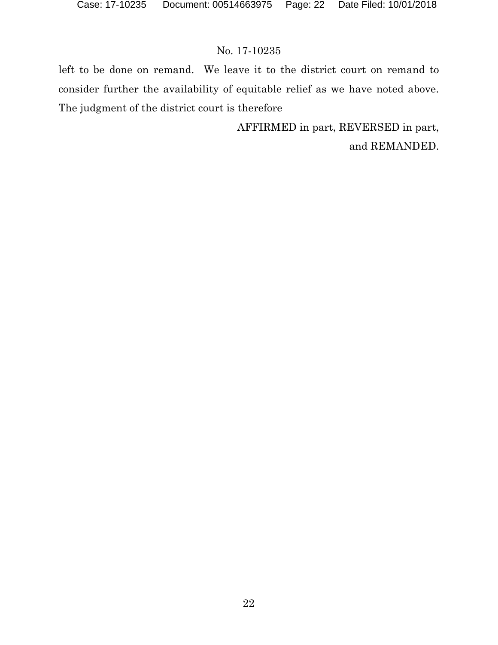left to be done on remand. We leave it to the district court on remand to consider further the availability of equitable relief as we have noted above. The judgment of the district court is therefore

> AFFIRMED in part, REVERSED in part, and REMANDED.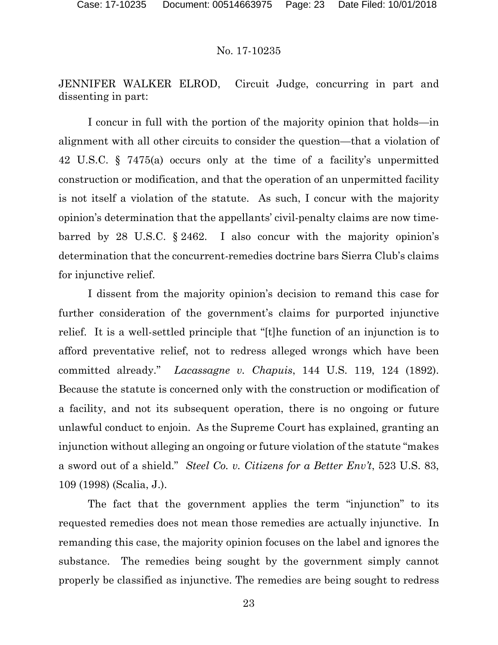JENNIFER WALKER ELROD, Circuit Judge, concurring in part and dissenting in part:

I concur in full with the portion of the majority opinion that holds—in alignment with all other circuits to consider the question—that a violation of 42 U.S.C. § 7475(a) occurs only at the time of a facility's unpermitted construction or modification, and that the operation of an unpermitted facility is not itself a violation of the statute. As such, I concur with the majority opinion's determination that the appellants' civil-penalty claims are now timebarred by 28 U.S.C. § 2462. I also concur with the majority opinion's determination that the concurrent-remedies doctrine bars Sierra Club's claims for injunctive relief.

I dissent from the majority opinion's decision to remand this case for further consideration of the government's claims for purported injunctive relief. It is a well-settled principle that "[t]he function of an injunction is to afford preventative relief, not to redress alleged wrongs which have been committed already." *Lacassagne v. Chapuis*, 144 U.S. 119, 124 (1892). Because the statute is concerned only with the construction or modification of a facility, and not its subsequent operation, there is no ongoing or future unlawful conduct to enjoin. As the Supreme Court has explained, granting an injunction without alleging an ongoing or future violation of the statute "makes a sword out of a shield." *Steel Co. v. Citizens for a Better Env't*, 523 U.S. 83, 109 (1998) (Scalia, J.).

The fact that the government applies the term "injunction" to its requested remedies does not mean those remedies are actually injunctive. In remanding this case, the majority opinion focuses on the label and ignores the substance. The remedies being sought by the government simply cannot properly be classified as injunctive. The remedies are being sought to redress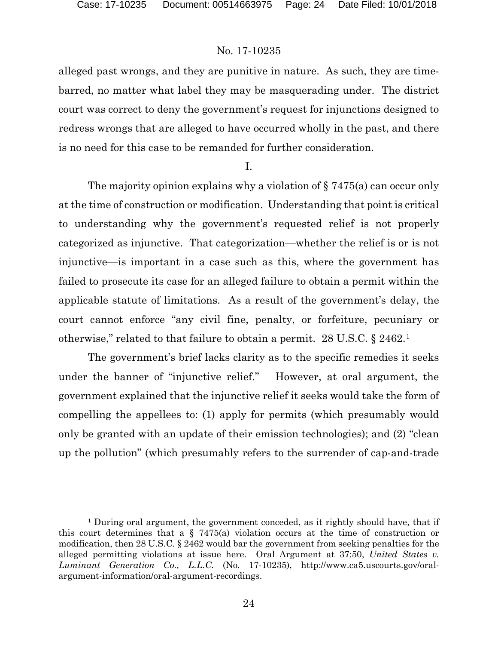## No. 17-10235

alleged past wrongs, and they are punitive in nature. As such, they are timebarred, no matter what label they may be masquerading under. The district court was correct to deny the government's request for injunctions designed to redress wrongs that are alleged to have occurred wholly in the past, and there is no need for this case to be remanded for further consideration.

I.

The majority opinion explains why a violation of § 7475(a) can occur only at the time of construction or modification. Understanding that point is critical to understanding why the government's requested relief is not properly categorized as injunctive. That categorization—whether the relief is or is not injunctive—is important in a case such as this, where the government has failed to prosecute its case for an alleged failure to obtain a permit within the applicable statute of limitations. As a result of the government's delay, the court cannot enforce "any civil fine, penalty, or forfeiture, pecuniary or otherwise," related to that failure to obtain a permit. 28 U.S.C. § 2462.[1](#page-23-0)

The government's brief lacks clarity as to the specific remedies it seeks under the banner of "injunctive relief." However, at oral argument, the government explained that the injunctive relief it seeks would take the form of compelling the appellees to: (1) apply for permits (which presumably would only be granted with an update of their emission technologies); and (2) "clean up the pollution" (which presumably refers to the surrender of cap-and-trade

<span id="page-23-0"></span><sup>1</sup> During oral argument, the government conceded, as it rightly should have, that if this court determines that a  $\S$  7475(a) violation occurs at the time of construction or modification, then 28 U.S.C. § 2462 would bar the government from seeking penalties for the alleged permitting violations at issue here. Oral Argument at 37:50, *United States v. Luminant Generation Co., L.L.C.* (No. 17-10235), http://www.ca5.uscourts.gov/oralargument-information/oral-argument-recordings.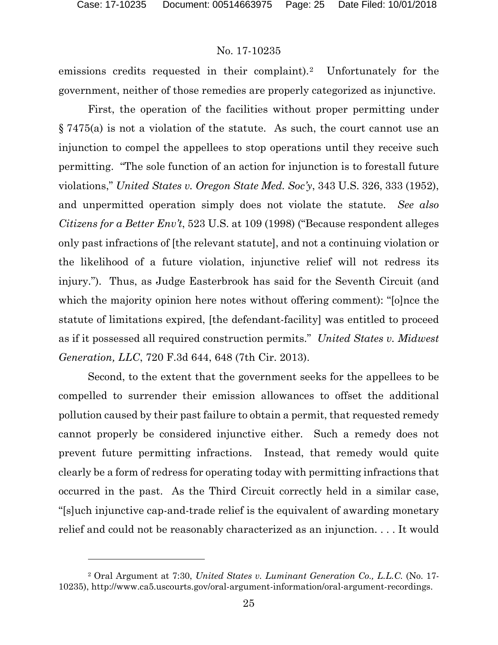l

## No. 17-10235

emissions credits requested in their complaint).<sup>[2](#page-24-0)</sup> Unfortunately for the government, neither of those remedies are properly categorized as injunctive.

First, the operation of the facilities without proper permitting under § 7475(a) is not a violation of the statute. As such, the court cannot use an injunction to compel the appellees to stop operations until they receive such permitting. "The sole function of an action for injunction is to forestall future violations," *United States v. Oregon State Med. Soc'y*, 343 U.S. 326, 333 (1952), and unpermitted operation simply does not violate the statute. *See also Citizens for a Better Env't*, 523 U.S. at 109 (1998) ("Because respondent alleges only past infractions of [the relevant statute], and not a continuing violation or the likelihood of a future violation, injunctive relief will not redress its injury."). Thus, as Judge Easterbrook has said for the Seventh Circuit (and which the majority opinion here notes without offering comment): "[o]nce the statute of limitations expired, [the defendant-facility] was entitled to proceed as if it possessed all required construction permits." *United States v. Midwest Generation, LLC*, 720 F.3d 644, 648 (7th Cir. 2013).

Second, to the extent that the government seeks for the appellees to be compelled to surrender their emission allowances to offset the additional pollution caused by their past failure to obtain a permit, that requested remedy cannot properly be considered injunctive either. Such a remedy does not prevent future permitting infractions. Instead, that remedy would quite clearly be a form of redress for operating today with permitting infractions that occurred in the past. As the Third Circuit correctly held in a similar case, "[s]uch injunctive cap-and-trade relief is the equivalent of awarding monetary relief and could not be reasonably characterized as an injunction. . . . It would

<span id="page-24-0"></span><sup>2</sup> Oral Argument at 7:30, *United States v. Luminant Generation Co., L.L.C.* (No. 17- 10235), http://www.ca5.uscourts.gov/oral-argument-information/oral-argument-recordings.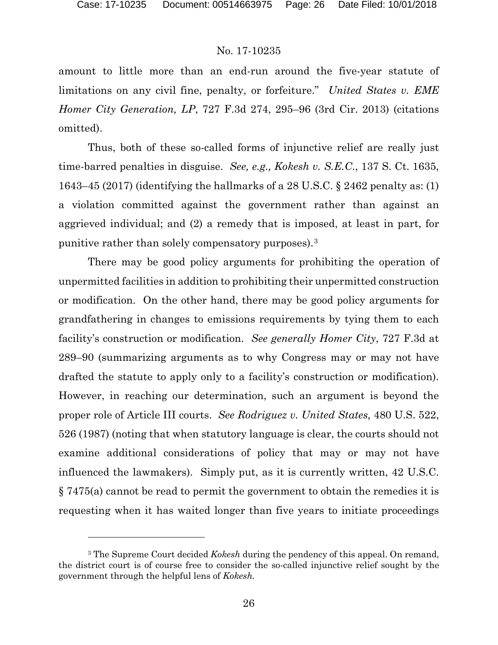## No. 17-10235

amount to little more than an end-run around the five-year statute of limitations on any civil fine, penalty, or forfeiture." *United States v. EME Homer City Generation, LP*, 727 F.3d 274, 295–96 (3rd Cir. 2013) (citations omitted).

Thus, both of these so-called forms of injunctive relief are really just time-barred penalties in disguise. *See, e.g., Kokesh v. S.E.C*., 137 S. Ct. 1635, 1643–45 (2017) (identifying the hallmarks of a 28 U.S.C. § 2462 penalty as: (1) a violation committed against the government rather than against an aggrieved individual; and (2) a remedy that is imposed, at least in part, for punitive rather than solely compensatory purposes).[3](#page-25-0) 

There may be good policy arguments for prohibiting the operation of unpermitted facilities in addition to prohibiting their unpermitted construction or modification. On the other hand, there may be good policy arguments for grandfathering in changes to emissions requirements by tying them to each facility's construction or modification. *See generally Homer City*, 727 F.3d at 289–90 (summarizing arguments as to why Congress may or may not have drafted the statute to apply only to a facility's construction or modification). However, in reaching our determination, such an argument is beyond the proper role of Article III courts. *See Rodriguez v. United States,* 480 U.S. 522, 526 (1987) (noting that when statutory language is clear, the courts should not examine additional considerations of policy that may or may not have influenced the lawmakers). Simply put, as it is currently written, 42 U.S.C. § 7475(a) cannot be read to permit the government to obtain the remedies it is requesting when it has waited longer than five years to initiate proceedings

<span id="page-25-0"></span><sup>3</sup> The Supreme Court decided *Kokesh* during the pendency of this appeal. On remand, the district court is of course free to consider the so-called injunctive relief sought by the government through the helpful lens of *Kokesh.*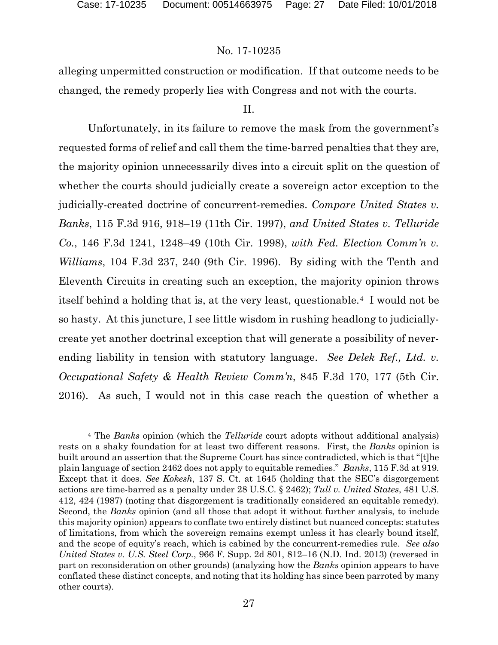## No. 17-10235

alleging unpermitted construction or modification. If that outcome needs to be changed, the remedy properly lies with Congress and not with the courts.

## II.

Unfortunately, in its failure to remove the mask from the government's requested forms of relief and call them the time-barred penalties that they are, the majority opinion unnecessarily dives into a circuit split on the question of whether the courts should judicially create a sovereign actor exception to the judicially-created doctrine of concurrent-remedies. *Compare United States v. Banks*, 115 F.3d 916, 918–19 (11th Cir. 1997), *and United States v. Telluride Co.*, 146 F.3d 1241, 1248–49 (10th Cir. 1998), *with Fed. Election Comm'n v. Williams*, 104 F.3d 237, 240 (9th Cir. 1996). By siding with the Tenth and Eleventh Circuits in creating such an exception, the majority opinion throws itself behind a holding that is, at the very least, questionable.[4](#page-26-0) I would not be so hasty. At this juncture, I see little wisdom in rushing headlong to judiciallycreate yet another doctrinal exception that will generate a possibility of neverending liability in tension with statutory language. *See Delek Ref., Ltd. v. Occupational Safety & Health Review Comm'n*, 845 F.3d 170, 177 (5th Cir. 2016). As such, I would not in this case reach the question of whether a

<span id="page-26-0"></span><sup>4</sup> The *Banks* opinion (which the *Telluride* court adopts without additional analysis) rests on a shaky foundation for at least two different reasons. First, the *Banks* opinion is built around an assertion that the Supreme Court has since contradicted, which is that "[t]he plain language of section 2462 does not apply to equitable remedies." *Banks*, 115 F.3d at 919. Except that it does. *See Kokesh*, 137 S. Ct. at 1645 (holding that the SEC's disgorgement actions are time-barred as a penalty under 28 U.S.C. § 2462); *Tull v. United States*, 481 U.S. 412, 424 (1987) (noting that disgorgement is traditionally considered an equitable remedy). Second, the *Banks* opinion (and all those that adopt it without further analysis, to include this majority opinion) appears to conflate two entirely distinct but nuanced concepts: statutes of limitations, from which the sovereign remains exempt unless it has clearly bound itself, and the scope of equity's reach, which is cabined by the concurrent-remedies rule. *See also United States v. U.S. Steel Corp.*, 966 F. Supp. 2d 801, 812–16 (N.D. Ind. 2013) (reversed in part on reconsideration on other grounds) (analyzing how the *Banks* opinion appears to have conflated these distinct concepts, and noting that its holding has since been parroted by many other courts).